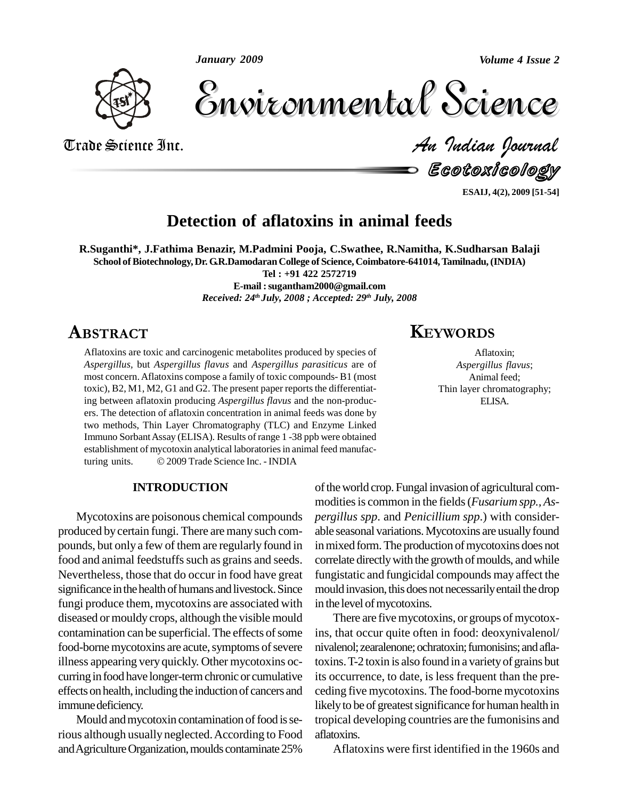*January 2009*

*Volume 4 Issue 2*



Volume 4 Issue 2 Trade Science Inc. *An Indian Journal* Volume 4 Issue 2

An Indian Journal<br>ECOLOXICOIOQY —

**ESAIJ, 4(2), 2009 [51-54]**

## **Detection of aflatoxins in animal feeds**

**R.Suganthi\*, J.Fathima Benazir, M.Padmini Pooja, C.Swathee, R.Namitha, K.Sudharsan Balaji School ofBiotechnology, Dr. G.R.Damodaran College of Science, Coimbatore-641014,Tamilnadu,(INDIA)**

**Tel : +91 422 2572719**

**E-mail :[sugantham2000@gmail.com](mailto:sugantham2000@gmail.com)** *Received: 24 th July, 2008 ; Accepted: 29 th July, 2008* **KEYWORDS** 

## ABSTRACT

Aflatoxins are toxic and carcinogenic metabolites produced by species of *Aspergillus,* but *Aspergillus flavus* and *Aspergillus parasiticus* are of most concern.Aflatoxins compose a family of toxic compounds- B1 (most toxic),  $B2$ ,  $M1$ ,  $M2$ ,  $G1$  and  $G2$ . The present paper reports the differentiating between aflatoxin producing *Aspergillus flavus* and the non-produc ers. The detection of aflatoxin concentration in animal feeds was done by two methods, Thin Layer Chromatography (TLC) and Enzyme Linked Immuno Sorbant Assay (ELISA). Results of range 1 -38 ppb were obtained<br>establishment of mycotoxin analytical laboratories in animal feed manufac-<br>turing units. © 2009 Trade Science Inc. - INDIA establishment of mycotoxin analytical laboratories in animal feed manufac-

### **INTRODUCTION**

Mycotoxins are poisonous chemical compounds produced bycertain fungi. There are many such com pounds, but only a few of them are regularly found in food and animal feedstuffs such as grains and seeds. Nevertheless, those that do occur in food have great significance in the health of humans and livestock. Since fungi produce them, mycotoxins are associated with diseased ormouldy crops, although the visible mould contamination can be superficial. The effects of some food-borne mycotoxins are acute, symptoms of severe illness appearing very quickly. Other mycotoxins oc curring in food have longer-term chronic or cumulative effects on health, including the induction of cancers and immune deficiency.

Mould and mycotoxin contamination of food is serious although usually neglected.According to Food and Agriculture Organization, moulds contaminate 25%

## **KEYWORDS**

Aflatoxin; *Aspergillus flavus*; Animal feed; Thin layer chromatography; ELISA.

of the world crop. Fungal invasion of agricultural commodities is common in the fields (*Fusarium spp., Aspergillus spp*. and *Penicillium spp*.) with consider able seasonal variations. Mycotoxins are usually found in mixed form. The production of mycotoxins does not correlate directly with the growth of moulds, and while fungistatic and fungicidal compounds may affect the mould invasion, this does not necessarily entail the drop in the level of mycotoxins.

There are five mycotoxins, or groups of mycotoxins, that occur quite often in food: deoxynivalenol/ nivalenol; zearalenone; ochratoxin; fumonisins; and aflatoxins. T-2 toxin is also found in a variety of grains but its occurrence, to date, is less frequent than the pre ceding five mycotoxins. The food-borne mycotoxins likely to be of greatest significance for human health in tropical developing countries are the fumonisins and aflatoxins.

Aflatoxins were first identified in the 1960s and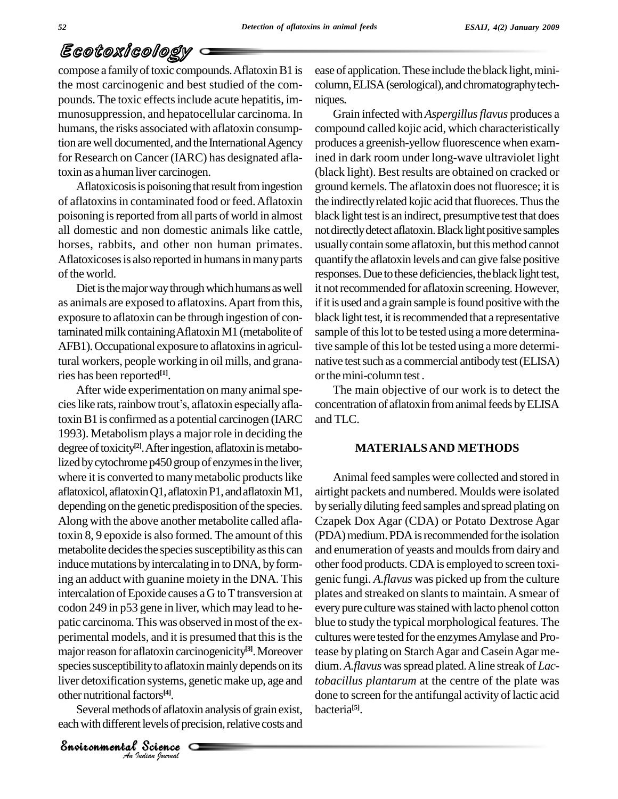# Ecotoxicology

compose a family of toxic compounds. Aflatoxin B1 is the most carcinogenic and best studied of the com pounds. The toxic effects include acute hepatitis, immunosuppression, and hepatocellular carcinoma. In humans, the risks associated with aflatoxin consumption are well documented, and the International Agency for Research on Cancer (IARC) has designated aflatoxin as a human liver carcinogen.

Aflatoxicosis is poisoning that result from ingestion of aflatoxins in contaminated food or feed. Aflatoxin poisoning is reported from all parts of world in almost all domestic and non domestic animals like cattle, horses, rabbits, and other non human primates. Aflatoxicoses is also reported in humans in many parts of the world.

Diet is the major way through which humans as well as animals are exposed to aflatoxins.Apart from this, exposure to aflatoxin can be through ingestion of contaminated milk containing Aflatoxin M1 (metabolite of AFB1). Occupational exposure to aflatoxins in agricultural workers, people working in oil mills, and granaries has been reported **[1]**.

species susceptibility to aflatoxin mainly depends on its<br>
liver detoxification systems, genetic make up, age and *toba*<br>
other nutritional factors<sup>[4]</sup>. done<br>
Several methods of aflatoxin analysis of grain exist, bacte<br>
e After wide experimentation on many animal species like rats, rainbow trout's, aflatoxin especially aflatoxinB1 is confirmed as a potential carcinogen (IARC 1993). Metabolism plays a major role in deciding the degree of toxicity<sup>[2]</sup>. After ingestion, aflatoxin is metabolized by cytochrome p450 group of enzymes in the liver, where it is converted to many metabolic products like aflatoxicol, aflatoxin Q1, aflatoxin P1, and aflatoxin M1, depending on the genetic predisposition of the species. Along with the above another metabolite called aflatoxin 8, 9 epoxide is also formed. The amount of this metabolite decides the species susceptibility as this can induce mutations by intercalating in to DNA, by forming an adduct with guanine moiety in the DNA. This intercalation of Epoxide causes a G to T transversion at codon 249 in p53 gene in liver, which may lead to he patic carcinoma. This was observed in most of the experimental models, and it is presumed that this is the major reason for aflatoxin carcinogenicity<sup>[3]</sup>. Moreover teas liver detoxification systems, genetic make up, age and other nutritional factors<sup>[4]</sup>.

Several methods of aflatoxin analysis of grain exist, each with different levels of precision, relative costs and

*Indian Journal*

ease of application. These include the black light, minicolumn, ELISA (serological), and chromatography techniques.

Grain infected with *Aspergillusflavus* produces a compound called kojic acid, which characteristically produces a greenish-yellow fluorescence when examined in dark room under long-wave ultraviolet light (black light). Best results are obtained on cracked or ground kernels. The aflatoxin does not fluoresce; it is the indirectly related kojic acid that fluoreces. Thus the black light testis an indirect, presumptive test that does not directly detect aflatoxin. Black light positive samples usually contain some aflatoxin, but this method cannot quantifythe aflatoxin levels and can give false positive responses. Due to these deficiencies, the black light test, it not recommended for aflatoxin screening. However, if it is used and a grain sample is found positive with the black light test, it is recommended that a representative sample of this lot to be tested using a more determinative sample of this lot be tested using a more determinative test such as a commercial antibody test (ELISA) or the mini-column test .<br>The main objective of our work is to detect the

concentration of aflatoxin from animal feeds by ELISA and TLC.

#### **MATERIALSAND METHODS**

Animal feed samples were collected and stored in airtight packets and numbered. Moulds were isolated byseriallydiluting feed samples and spread plating on Czapek Dox Agar (CDA) or Potato Dextrose Agar (PDA) medium. PDA is recommended for the isolation and enumeration of yeasts and moulds from dairy and other food products. CDA is employed to screen toxigenic fungi. *A.flavus* was picked up from the culture plates and streaked on slants to maintain. A smear of every pure culture was stained with lacto phenol cotton blue to study the typical morphological features. The cultures were tested for the enzymes Amylase and Protease by plating on Starch Agar and Casein Agar medium. A.flavus was spread plated. A line streak of *Lactobacillus plantarum* at the centre of the plate was done to screen for the antifungal activity of lactic acid bacteria **[5]**.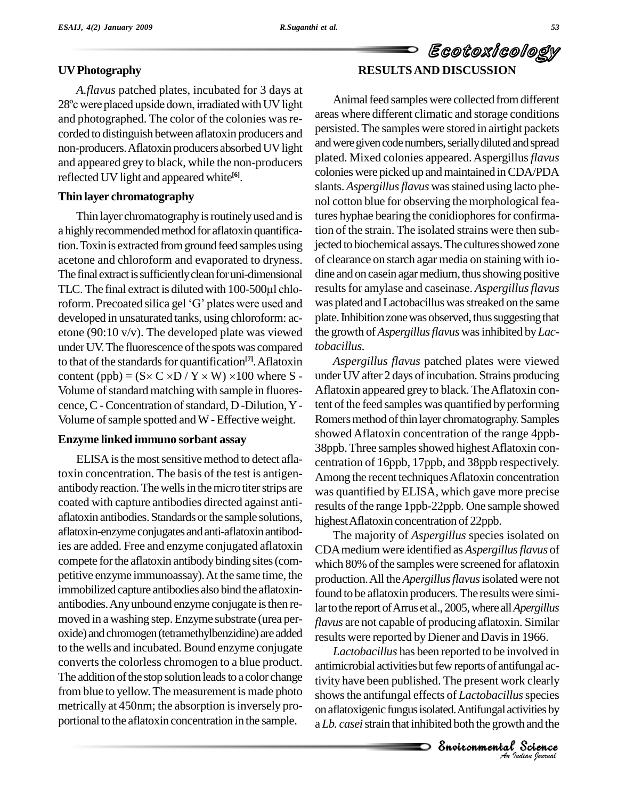### **UVPhotography**

*A.flavus* patched plates, incubated for 3 days at 28° cwere placed upside down, irradiated with UV light and photographed. The color of the colonies was recorded to distinguish between aflatoxin producers and non-producers. Aflatoxin producers absorbed UV light and appeared grey to black, while the non-producers reflected UV light and appeared white **[6]**.

### **Thin layer chromatography**

Thin layer chromatography is routinely used and is a highly recommended method for aflatoxin quantification. Toxin is extracted from ground feed samples using acetone and chloroform and evaporated to dryness. of<br>The final extract is sufficiently clean for uni-dimensional di<br>TLC. The final extract is diluted with 100-500µl chlo-The final extract is sufficiently clean for uni-dimensional dine an<br>TLC. The final extract is diluted with 100-500µl chlo-results<br>roform. Precoated silica gel 'G' plates were used and was pla developed in unsaturated tanks, using chloroform: ac etone (90:10 v/v). The developed plate was viewed under UV. The fluorescence of the spots was compared to that of the standards for quantification<sup>[7]</sup>. Aflatoxin As<sub>l</sub> under UV. The fluorescence of the spots was compared *to baci*<br>to that of the standards for quantification<sup>[7]</sup>. Aflatoxin *As*<br>content (ppb) = (S× C ×D / Y × W) ×100 where S - under l Volume of standard matching with sample in fluorescence, C - Concentration of standard, D -Dilution, Y -Volume of sample spotted and W - Effective weight.

### **Enzyme linked immuno sorbant assay**

ELISA is the most sensitive method to detect aflatoxin concentration. The basis of the test is antigen antibody reaction. The wells in the micro titer strips are coated with capture antibodies directed against anti aflatoxin antibodies.Standards orthe sample solutions, aflatoxin-enzyme conjugatesandanti-aflatoxinantibodies are added. Free and enzyme conjugated aflatoxin compete forthe aflatoxin antibodybinding sites(com petitive enzyme immunoassay).At the same time, the immobilized capture antibodies also bind the aflatoxin antibodies.Anyunbound enzyme conjugate isthen re-moved in <sup>a</sup> washing step.Enzyme substrate (urea per oxide) and chromogen (tetramethylbenzidine) are added to the wells and incubated. Bound enzyme conjugate converts the colorless chromogen to a blue product. The addition of the stop solution leads to a color change from blue to yellow.The measurement is made photo metrically at 450nm; the absorption is inversely proportional to the aflatoxin concentration in the sample.

# Ecotoxicology **RESULTSAND DISCUSSION**

Animal feed samples were collected from different areas where different climatic and storage conditions persisted. The samples were stored in airtight packets and were given code numbers, serially diluted and spread plated. Mixed colonies appeared.Aspergillus*flavus* colonies were picked up and maintained in CDA/PDA slants. *Aspergillus flavus* was stained using lacto phenol cotton blue for observing the morphological features hyphae bearing the conidiophores for confirmation of the strain. The isolated strains were then subjected to biochemical assays. The cultures showed zone of clearance on starch agar media on staining with io dine and on casein agar medium, thus showing positive results for amylase and caseinase. *Aspergillus flavus* was plated and Lactobacillus was streaked on the same plate. Inhibition zone was observed, thus suggesting that the growth of*Aspergillusflavus* wasinhibited by*Lactobacillus.*

*Aspergillus flavus* patched plates were viewed under UV after 2 days of incubation. Strains producing Aflatoxin appeared grey to black.TheAflatoxin content of the feed samples was quantified by performing Romers method of thin layer chromatography. Samples showed Aflatoxin concentration of the range 4ppb- 38ppb. Three samples showed highest Aflatoxin concentration of 16ppb, 17ppb, and 38ppb respectively. Among the recent techniquesAflatoxin concentration was quantified by ELISA, which gave more precise results of the range 1ppb-22ppb. One sample showed highestAflatoxin concentration of 22ppb.

The majority of *Aspergillus* species isolated on CDAmedium were identified as *Aspergillusflavus* of which 80% of the samples were screened for aflatoxin production.All the*Apergillusflavus*isolated were not found to be aflatoxin producers. The results were similar to the report of Arrus et al., 2005, where all *Apergillus flavus* are not capable of producing aflatoxin. Similar results were reported by Diener and Davis in 1966.

antimicrobial activities but few reports of antifungal ac-*Indigat accretions*<br>*Interpretions*<br>*Indian bournal*<br>*Indian bournal* ungal ac-<br>k clearly<br>s species<br>ivities by<br>h and the<br>**Science** *Lactobacillus* has been reported to be involved in tivity have been published. The present work clearly showsthe antifungal effects of *Lactobacillus*species on aflatoxigenic fungus isolated. Antifungal activities by a *Lb. casei*strain that inhibited both the growth and the